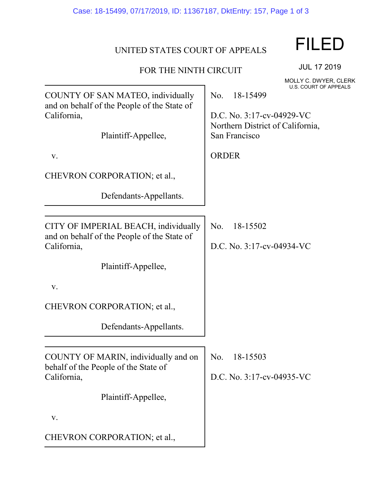## UNITED STATES COURT OF APPEALS

## FOR THE NINTH CIRCUIT

FILED

MOLLY C. DWYER, CLERK U.S. COURT OF APPEALS

JUL 17 2019

|                                                                                                                        | U.S. COURT OF APPEALS                                                                                             |
|------------------------------------------------------------------------------------------------------------------------|-------------------------------------------------------------------------------------------------------------------|
| COUNTY OF SAN MATEO, individually<br>and on behalf of the People of the State of<br>California,<br>Plaintiff-Appellee, | No.<br>18-15499<br>D.C. No. 3:17-cv-04929-VC<br>Northern District of California,<br>San Francisco<br><b>ORDER</b> |
| ${\bf V}$ .                                                                                                            |                                                                                                                   |
| CHEVRON CORPORATION; et al.,                                                                                           |                                                                                                                   |
| Defendants-Appellants.                                                                                                 |                                                                                                                   |
|                                                                                                                        |                                                                                                                   |
| CITY OF IMPERIAL BEACH, individually<br>and on behalf of the People of the State of                                    | 18-15502<br>No.                                                                                                   |
| California,                                                                                                            | D.C. No. 3:17-cv-04934-VC                                                                                         |
| Plaintiff-Appellee,                                                                                                    |                                                                                                                   |
| ${\bf V}$ .                                                                                                            |                                                                                                                   |
| CHEVRON CORPORATION; et al.,                                                                                           |                                                                                                                   |
| Defendants-Appellants.                                                                                                 |                                                                                                                   |
|                                                                                                                        |                                                                                                                   |
| COUNTY OF MARIN, individually and on<br>behalf of the People of the State of                                           | No.<br>18-15503                                                                                                   |
| California,                                                                                                            | D.C. No. 3:17-cv-04935-VC                                                                                         |
| Plaintiff-Appellee,                                                                                                    |                                                                                                                   |
| V.                                                                                                                     |                                                                                                                   |
| CHEVRON CORPORATION; et al.,                                                                                           |                                                                                                                   |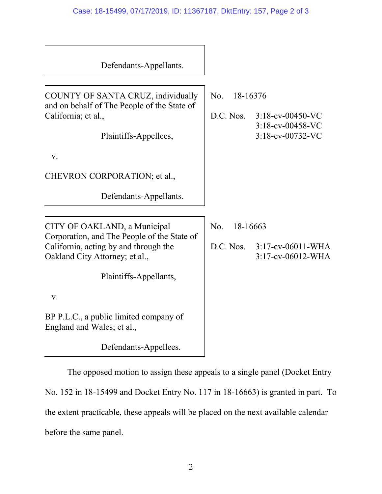| Defendants-Appellants.                                                                                                                                                           |                              |                                                                    |
|----------------------------------------------------------------------------------------------------------------------------------------------------------------------------------|------------------------------|--------------------------------------------------------------------|
| COUNTY OF SANTA CRUZ, individually<br>and on behalf of The People of the State of<br>California; et al.,<br>Plaintiffs-Appellees,<br>V.                                          | No.<br>18-16376              | D.C. Nos. 3:18-cv-00450-VC<br>3:18-cv-00458-VC<br>3:18-cv-00732-VC |
| CHEVRON CORPORATION; et al.,<br>Defendants-Appellants.                                                                                                                           |                              |                                                                    |
| CITY OF OAKLAND, a Municipal<br>Corporation, and The People of the State of<br>California, acting by and through the<br>Oakland City Attorney; et al.,<br>Plaintiffs-Appellants, | No.<br>18-16663<br>D.C. Nos. | $3:17$ -cv-06011-WHA<br>3:17-cv-06012-WHA                          |
| V.<br>BP P.L.C., a public limited company of<br>England and Wales; et al.,<br>Defendants-Appellees.                                                                              |                              |                                                                    |

The opposed motion to assign these appeals to a single panel (Docket Entry No. 152 in 18-15499 and Docket Entry No. 117 in 18-16663) is granted in part. To the extent practicable, these appeals will be placed on the next available calendar before the same panel.